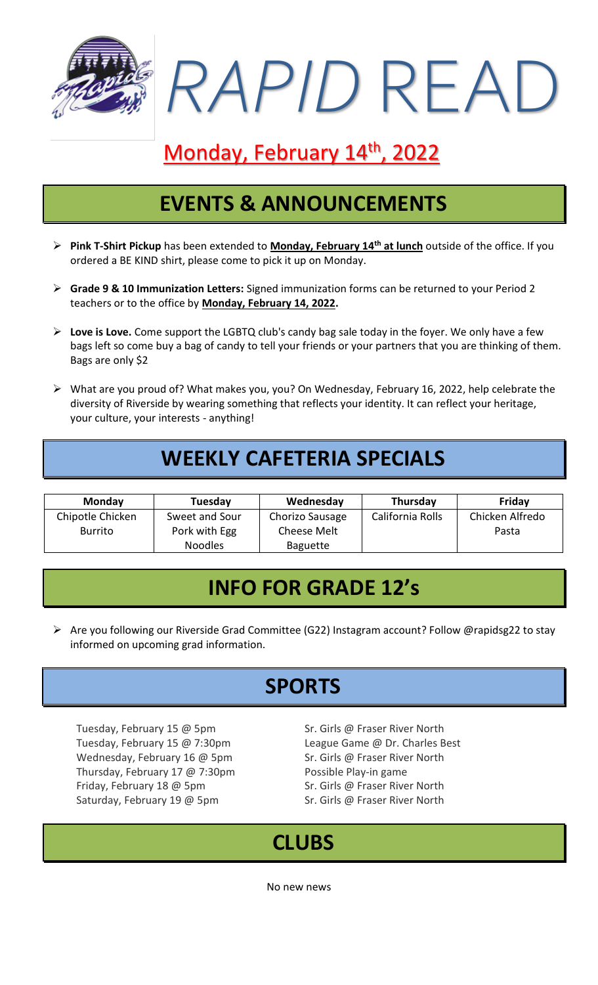

# Monday, February 14<sup>th</sup>, 2022

## **EVENTS & ANNOUNCEMENTS**

- ➢ **Pink T-Shirt Pickup** has been extended to **Monday, February 14th at lunch** outside of the office. If you ordered a BE KIND shirt, please come to pick it up on Monday.
- ➢ **Grade 9 & 10 Immunization Letters:** Signed immunization forms can be returned to your Period 2 teachers or to the office by **Monday, February 14, 2022.**
- ➢ **Love is Love.** Come support the LGBTQ club's candy bag sale today in the foyer. We only have a few bags left so come buy a bag of candy to tell your friends or your partners that you are thinking of them. Bags are only \$2
- ➢ What are you proud of? What makes you, you? On Wednesday, February 16, 2022, help celebrate the diversity of Riverside by wearing something that reflects your identity. It can reflect your heritage, your culture, your interests - anything!

# **WEEKLY CAFETERIA SPECIALS**

| <b>Monday</b>    | Tuesday        | Wednesday       | Thursday         | Friday          |
|------------------|----------------|-----------------|------------------|-----------------|
| Chipotle Chicken | Sweet and Sour | Chorizo Sausage | California Rolls | Chicken Alfredo |
| <b>Burrito</b>   | Pork with Egg  | Cheese Melt     |                  | Pasta           |
|                  | <b>Noodles</b> | <b>Baguette</b> |                  |                 |

#### **INFO FOR GRADE 12's**

➢ Are you following our Riverside Grad Committee (G22) Instagram account? Follow @rapidsg22 to stay informed on upcoming grad information.

### **SPORTS**

Tuesday, February 15 @ 5pm Sr. Girls @ Fraser River North Tuesday, February 15 @ 7:30pm League Game @ Dr. Charles Best Wednesday, February 16 @ 5pm Sr. Girls @ Fraser River North Thursday, February 17 @ 7:30pm Possible Play-in game Friday, February 18 @ 5pm Sr. Girls @ Fraser River North Saturday, February 19 @ 5pm Sr. Girls @ Fraser River North

### **CLUBS**

No new news